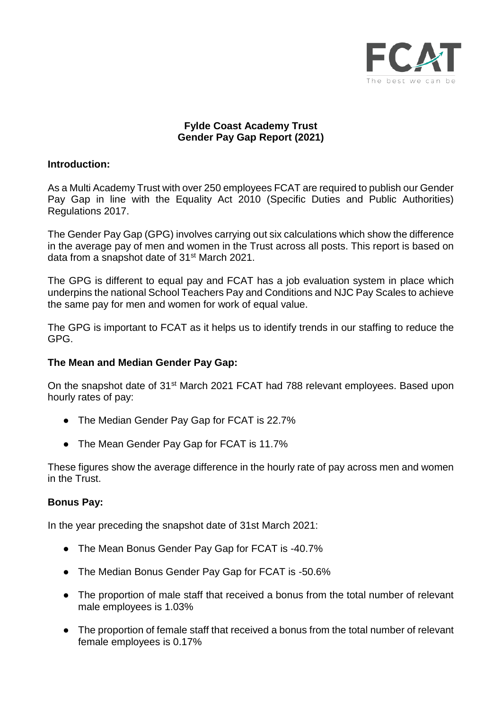

# **Fylde Coast Academy Trust Gender Pay Gap Report (2021)**

### **Introduction:**

As a Multi Academy Trust with over 250 employees FCAT are required to publish our Gender Pay Gap in line with the Equality Act 2010 (Specific Duties and Public Authorities) Regulations 2017.

The Gender Pay Gap (GPG) involves carrying out six calculations which show the difference in the average pay of men and women in the Trust across all posts. This report is based on data from a snapshot date of 31<sup>st</sup> March 2021.

The GPG is different to equal pay and FCAT has a job evaluation system in place which underpins the national School Teachers Pay and Conditions and NJC Pay Scales to achieve the same pay for men and women for work of equal value.

The GPG is important to FCAT as it helps us to identify trends in our staffing to reduce the GPG.

#### **The Mean and Median Gender Pay Gap:**

On the snapshot date of 31<sup>st</sup> March 2021 FCAT had 788 relevant employees. Based upon hourly rates of pay:

- The Median Gender Pay Gap for FCAT is 22.7%
- The Mean Gender Pay Gap for FCAT is 11.7%

These figures show the average difference in the hourly rate of pay across men and women in the Trust.

#### **Bonus Pay:**

In the year preceding the snapshot date of 31st March 2021:

- The Mean Bonus Gender Pay Gap for FCAT is -40.7%
- The Median Bonus Gender Pay Gap for FCAT is -50.6%
- The proportion of male staff that received a bonus from the total number of relevant male employees is 1.03%
- The proportion of female staff that received a bonus from the total number of relevant female employees is 0.17%